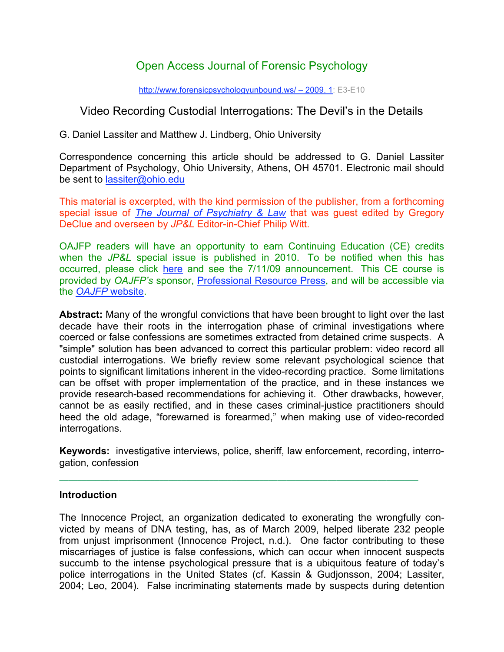# Open Access Journal of Forensic Psychology

http://www.forensicpsychologyunbound.ws/ – 2009. 1: E3-E10

## Video Recording Custodial Interrogations: The Devil's in the Details

G. Daniel Lassiter and Matthew J. Lindberg, Ohio University

Correspondence concerning this article should be addressed to G. Daniel Lassiter Department of Psychology, Ohio University, Athens, OH 45701. Electronic mail should be sent to lassiter@ohio.edu

This material is excerpted, with the kind permission of the publisher, from a forthcoming special issue of *The Journal of Psychiatry & Law* that was guest edited by Gregory DeClue and overseen by *JP&L* Editor-in-Chief Philip Witt.

OAJFP readers will have an opportunity to earn Continuing Education (CE) credits when the *JP&L* special issue is published in 2010. To be notified when this has occurred, please click here and see the 7/11/09 announcement. This CE course is provided by *OAJFP's* sponsor, Professional Resource Press, and will be accessible via the *OAJFP* website.

**Abstract:** Many of the wrongful convictions that have been brought to light over the last decade have their roots in the interrogation phase of criminal investigations where coerced or false confessions are sometimes extracted from detained crime suspects. A "simple" solution has been advanced to correct this particular problem: video record all custodial interrogations. We briefly review some relevant psychological science that points to significant limitations inherent in the video-recording practice. Some limitations can be offset with proper implementation of the practice, and in these instances we provide research-based recommendations for achieving it. Other drawbacks, however, cannot be as easily rectified, and in these cases criminal-justice practitioners should heed the old adage, "forewarned is forearmed," when making use of video-recorded interrogations.

**Keywords:** investigative interviews, police, sheriff, law enforcement, recording, interrogation, confession

**¯¯¯¯¯¯¯¯¯¯¯¯¯¯¯¯¯¯¯¯¯¯¯¯¯¯¯¯¯¯¯¯¯¯¯¯¯¯¯¯¯¯¯¯¯¯¯¯¯¯¯¯¯¯¯¯¯¯¯¯¯¯¯¯¯¯¯¯¯¯¯¯¯¯¯¯¯¯¯**

#### **Introduction**

The Innocence Project, an organization dedicated to exonerating the wrongfully convicted by means of DNA testing, has, as of March 2009, helped liberate 232 people from unjust imprisonment (Innocence Project, n.d.). One factor contributing to these miscarriages of justice is false confessions, which can occur when innocent suspects succumb to the intense psychological pressure that is a ubiquitous feature of today's police interrogations in the United States (cf. Kassin & Gudjonsson, 2004; Lassiter, 2004; Leo, 2004). False incriminating statements made by suspects during detention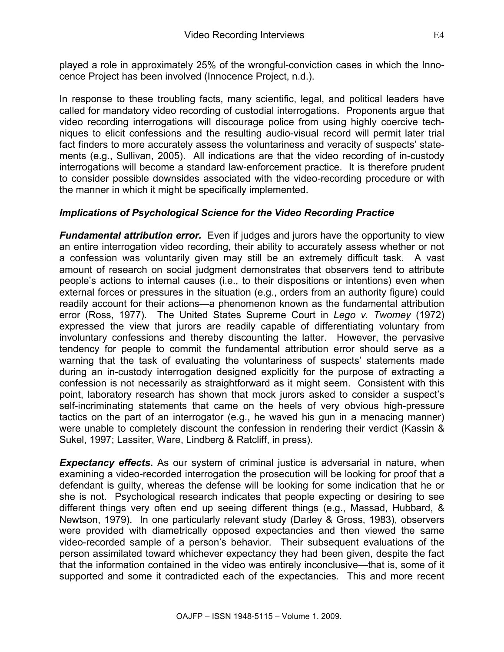played a role in approximately 25% of the wrongful-conviction cases in which the Innocence Project has been involved (Innocence Project, n.d.).

In response to these troubling facts, many scientific, legal, and political leaders have called for mandatory video recording of custodial interrogations. Proponents argue that video recording interrogations will discourage police from using highly coercive techniques to elicit confessions and the resulting audio-visual record will permit later trial fact finders to more accurately assess the voluntariness and veracity of suspects' statements (e.g., Sullivan, 2005). All indications are that the video recording of in-custody interrogations will become a standard law-enforcement practice. It is therefore prudent to consider possible downsides associated with the video-recording procedure or with the manner in which it might be specifically implemented.

### *Implications of Psychological Science for the Video Recording Practice*

*Fundamental attribution error.* Even if judges and jurors have the opportunity to view an entire interrogation video recording, their ability to accurately assess whether or not a confession was voluntarily given may still be an extremely difficult task. A vast amount of research on social judgment demonstrates that observers tend to attribute people's actions to internal causes (i.e., to their dispositions or intentions) even when external forces or pressures in the situation (e.g., orders from an authority figure) could readily account for their actions—a phenomenon known as the fundamental attribution error (Ross, 1977). The United States Supreme Court in *Lego v. Twomey* (1972) expressed the view that jurors are readily capable of differentiating voluntary from involuntary confessions and thereby discounting the latter. However, the pervasive tendency for people to commit the fundamental attribution error should serve as a warning that the task of evaluating the voluntariness of suspects' statements made during an in-custody interrogation designed explicitly for the purpose of extracting a confession is not necessarily as straightforward as it might seem. Consistent with this point, laboratory research has shown that mock jurors asked to consider a suspect's self-incriminating statements that came on the heels of very obvious high-pressure tactics on the part of an interrogator (e.g., he waved his gun in a menacing manner) were unable to completely discount the confession in rendering their verdict (Kassin & Sukel, 1997; Lassiter, Ware, Lindberg & Ratcliff, in press).

*Expectancy effects*. As our system of criminal justice is adversarial in nature, when examining a video-recorded interrogation the prosecution will be looking for proof that a defendant is guilty, whereas the defense will be looking for some indication that he or she is not. Psychological research indicates that people expecting or desiring to see different things very often end up seeing different things (e.g., Massad, Hubbard, & Newtson, 1979). In one particularly relevant study (Darley & Gross, 1983), observers were provided with diametrically opposed expectancies and then viewed the same video-recorded sample of a person's behavior. Their subsequent evaluations of the person assimilated toward whichever expectancy they had been given, despite the fact that the information contained in the video was entirely inconclusive—that is, some of it supported and some it contradicted each of the expectancies. This and more recent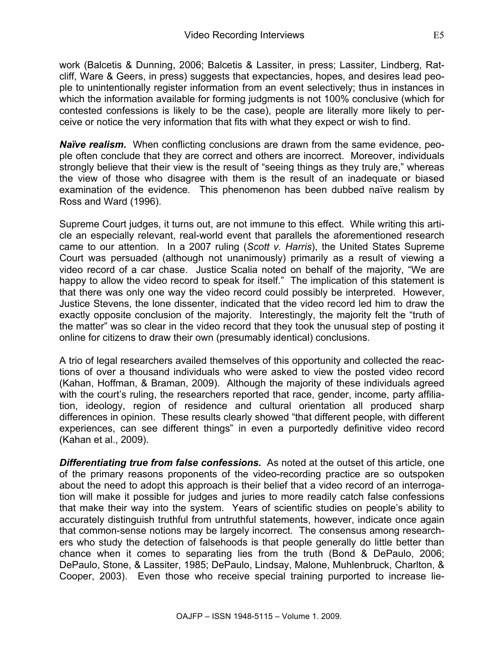work (Balcetis & Dunning, 2006; Balcetis & Lassiter, in press; Lassiter, Lindberg, Ratcliff, Ware & Geers, in press) suggests that expectancies, hopes, and desires lead people to unintentionally register information from an event selectively; thus in instances in which the information available for forming judgments is not 100% conclusive (which for contested confessions is likely to be the case), people are literally more likely to perceive or notice the very information that fits with what they expect or wish to find.

*Naïve realism***.** When conflicting conclusions are drawn from the same evidence, people often conclude that they are correct and others are incorrect. Moreover, individuals strongly believe that their view is the result of "seeing things as they truly are," whereas the view of those who disagree with them is the result of an inadequate or biased examination of the evidence. This phenomenon has been dubbed naïve realism by Ross and Ward (1996).

Supreme Court judges, it turns out, are not immune to this effect. While writing this article an especially relevant, real-world event that parallels the aforementioned research came to our attention. In a 2007 ruling (*Scott v. Harris*), the United States Supreme Court was persuaded (although not unanimously) primarily as a result of viewing a video record of a car chase. Justice Scalia noted on behalf of the majority, "We are happy to allow the video record to speak for itself." The implication of this statement is that there was only one way the video record could possibly be interpreted. However, Justice Stevens, the lone dissenter, indicated that the video record led him to draw the exactly opposite conclusion of the majority. Interestingly, the majority felt the "truth of the matter" was so clear in the video record that they took the unusual step of posting it online for citizens to draw their own (presumably identical) conclusions.

A trio of legal researchers availed themselves of this opportunity and collected the reactions of over a thousand individuals who were asked to view the posted video record (Kahan, Hoffman, & Braman, 2009). Although the majority of these individuals agreed with the court's ruling, the researchers reported that race, gender, income, party affiliation, ideology, region of residence and cultural orientation all produced sharp differences in opinion. These results clearly showed "that different people, with different experiences, can see different things" in even a purportedly definitive video record (Kahan et al., 2009).

**Differentiating true from false confessions.** As noted at the outset of this article, one of the primary reasons proponents of the video-recording practice are so outspoken about the need to adopt this approach is their belief that a video record of an interrogation will make it possible for judges and juries to more readily catch false confessions that make their way into the system. Years of scientific studies on people's ability to accurately distinguish truthful from untruthful statements, however, indicate once again that common-sense notions may be largely incorrect. The consensus among researchers who study the detection of falsehoods is that people generally do little better than chance when it comes to separating lies from the truth (Bond & DePaulo, 2006; DePaulo, Stone, & Lassiter, 1985; DePaulo, Lindsay, Malone, Muhlenbruck, Charlton, & Cooper, 2003). Even those who receive special training purported to increase lie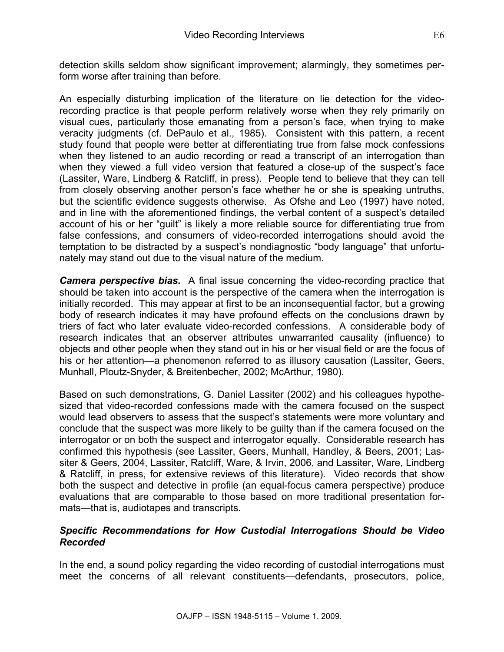detection skills seldom show significant improvement; alarmingly, they sometimes perform worse after training than before.

An especially disturbing implication of the literature on lie detection for the videorecording practice is that people perform relatively worse when they rely primarily on visual cues, particularly those emanating from a person's face, when trying to make veracity judgments (cf. DePaulo et al., 1985). Consistent with this pattern, a recent study found that people were better at differentiating true from false mock confessions when they listened to an audio recording or read a transcript of an interrogation than when they viewed a full video version that featured a close-up of the suspect's face (Lassiter, Ware, Lindberg & Ratcliff, in press). People tend to believe that they can tell from closely observing another person's face whether he or she is speaking untruths, but the scientific evidence suggests otherwise. As Ofshe and Leo (1997) have noted, and in line with the aforementioned findings, the verbal content of a suspect's detailed account of his or her "guilt" is likely a more reliable source for differentiating true from false confessions, and consumers of video-recorded interrogations should avoid the temptation to be distracted by a suspect's nondiagnostic "body language" that unfortunately may stand out due to the visual nature of the medium.

*Camera perspective bias.* A final issue concerning the video-recording practice that should be taken into account is the perspective of the camera when the interrogation is initially recorded. This may appear at first to be an inconsequential factor, but a growing body of research indicates it may have profound effects on the conclusions drawn by triers of fact who later evaluate video-recorded confessions. A considerable body of research indicates that an observer attributes unwarranted causality (influence) to objects and other people when they stand out in his or her visual field or are the focus of his or her attention—a phenomenon referred to as illusory causation (Lassiter, Geers, Munhall, Ploutz-Snyder, & Breitenbecher, 2002; McArthur, 1980).

Based on such demonstrations, G. Daniel Lassiter (2002) and his colleagues hypothesized that video-recorded confessions made with the camera focused on the suspect would lead observers to assess that the suspect's statements were more voluntary and conclude that the suspect was more likely to be guilty than if the camera focused on the interrogator or on both the suspect and interrogator equally. Considerable research has confirmed this hypothesis (see Lassiter, Geers, Munhall, Handley, & Beers, 2001; Lassiter & Geers, 2004, Lassiter, Ratcliff, Ware, & Irvin, 2006, and Lassiter, Ware, Lindberg & Ratcliff, in press, for extensive reviews of this literature). Video records that show both the suspect and detective in profile (an equal-focus camera perspective) produce evaluations that are comparable to those based on more traditional presentation formats—that is, audiotapes and transcripts.

### *Specific Recommendations for How Custodial Interrogations Should be Video Recorded*

In the end, a sound policy regarding the video recording of custodial interrogations must meet the concerns of all relevant constituents—defendants, prosecutors, police,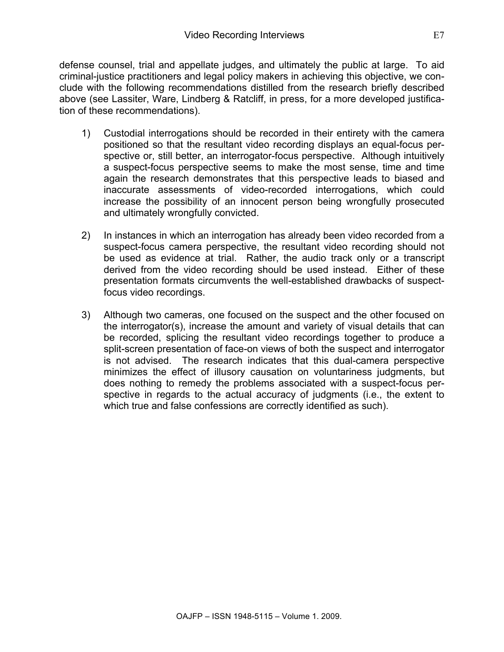defense counsel, trial and appellate judges, and ultimately the public at large. To aid criminal-justice practitioners and legal policy makers in achieving this objective, we conclude with the following recommendations distilled from the research briefly described above (see Lassiter, Ware, Lindberg & Ratcliff, in press, for a more developed justification of these recommendations).

- 1) Custodial interrogations should be recorded in their entirety with the camera positioned so that the resultant video recording displays an equal-focus perspective or, still better, an interrogator-focus perspective. Although intuitively a suspect-focus perspective seems to make the most sense, time and time again the research demonstrates that this perspective leads to biased and inaccurate assessments of video-recorded interrogations, which could increase the possibility of an innocent person being wrongfully prosecuted and ultimately wrongfully convicted.
- 2) In instances in which an interrogation has already been video recorded from a suspect-focus camera perspective, the resultant video recording should not be used as evidence at trial. Rather, the audio track only or a transcript derived from the video recording should be used instead. Either of these presentation formats circumvents the well-established drawbacks of suspectfocus video recordings.
- 3) Although two cameras, one focused on the suspect and the other focused on the interrogator(s), increase the amount and variety of visual details that can be recorded, splicing the resultant video recordings together to produce a split-screen presentation of face-on views of both the suspect and interrogator is not advised. The research indicates that this dual-camera perspective minimizes the effect of illusory causation on voluntariness judgments, but does nothing to remedy the problems associated with a suspect-focus perspective in regards to the actual accuracy of judgments (i.e., the extent to which true and false confessions are correctly identified as such).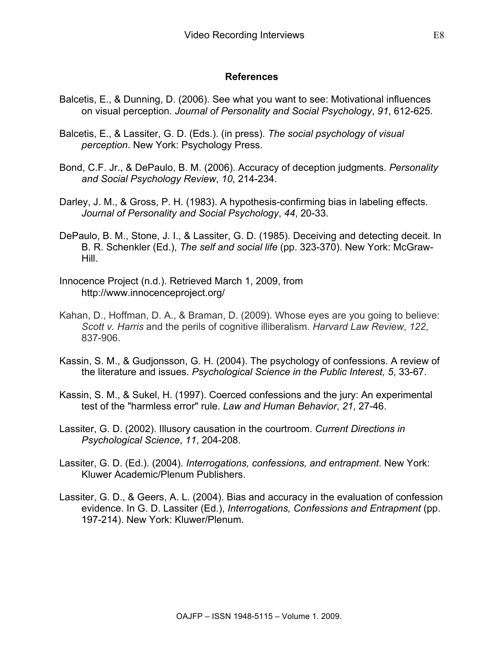#### **References**

- Balcetis, E., & Dunning, D. (2006). See what you want to see: Motivational influences on visual perception. *Journal of Personality and Social Psychology*, *91*, 612-625.
- Balcetis, E., & Lassiter, G. D. (Eds.). (in press). *The social psychology of visual perception*. New York: Psychology Press.
- Bond, C.F. Jr., & DePaulo, B. M. (2006). Accuracy of deception judgments. *Personality and Social Psychology Review*, *10*, 214-234.
- Darley, J. M., & Gross, P. H. (1983). A hypothesis-confirming bias in labeling effects. *Journal of Personality and Social Psychology*, *44*, 20-33.
- DePaulo, B. M., Stone, J. I., & Lassiter, G. D. (1985). Deceiving and detecting deceit. In B. R. Schenkler (Ed.), *The self and social life* (pp. 323-370). New York: McGraw-Hill.
- Innocence Project (n.d.). Retrieved March 1, 2009, from http://www.innocenceproject.org/
- Kahan, D., Hoffman, D. A., & Braman, D. (2009). Whose eyes are you going to believe: *Scott v. Harris* and the perils of cognitive illiberalism. *Harvard Law Review*, *122*, 837-906.
- Kassin, S. M., & Gudjonsson, G. H. (2004). The psychology of confessions. A review of the literature and issues. *Psychological Science in the Public Interest, 5*, 33-67.
- Kassin, S. M., & Sukel, H. (1997). Coerced confessions and the jury: An experimental test of the "harmless error" rule. *Law and Human Behavior*, *21*, 27-46.
- Lassiter, G. D. (2002). Illusory causation in the courtroom. *Current Directions in Psychological Science*, *11*, 204-208.
- Lassiter, G. D. (Ed.). (2004). *Interrogations, confessions, and entrapment*. New York: Kluwer Academic/Plenum Publishers.
- Lassiter, G. D., & Geers, A. L. (2004). Bias and accuracy in the evaluation of confession evidence. In G. D. Lassiter (Ed.), *Interrogations, Confessions and Entrapment* (pp. 197-214). New York: Kluwer/Plenum.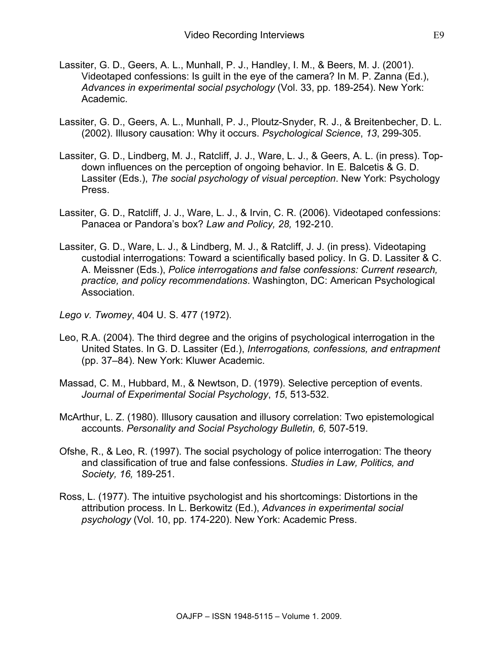- Lassiter, G. D., Geers, A. L., Munhall, P. J., Handley, I. M., & Beers, M. J. (2001). Videotaped confessions: Is guilt in the eye of the camera? In M. P. Zanna (Ed.), *Advances in experimental social psychology* (Vol. 33, pp. 189-254). New York: Academic.
- Lassiter, G. D., Geers, A. L., Munhall, P. J., Ploutz-Snyder, R. J., & Breitenbecher, D. L. (2002). Illusory causation: Why it occurs. *Psychological Science*, *13*, 299-305.
- Lassiter, G. D., Lindberg, M. J., Ratcliff, J. J., Ware, L. J., & Geers, A. L. (in press). Topdown influences on the perception of ongoing behavior. In E. Balcetis & G. D. Lassiter (Eds.), *The social psychology of visual perception*. New York: Psychology Press.
- Lassiter, G. D., Ratcliff, J. J., Ware, L. J., & Irvin, C. R. (2006). Videotaped confessions: Panacea or Pandora's box? *Law and Policy, 28,* 192-210.
- Lassiter, G. D., Ware, L. J., & Lindberg, M. J., & Ratcliff, J. J. (in press). Videotaping custodial interrogations: Toward a scientifically based policy. In G. D. Lassiter & C. A. Meissner (Eds.), *Police interrogations and false confessions: Current research, practice, and policy recommendations*. Washington, DC: American Psychological Association.

*Lego v. Twomey*, 404 U. S. 477 (1972).

- Leo, R.A. (2004). The third degree and the origins of psychological interrogation in the United States. In G. D. Lassiter (Ed.), *Interrogations, confessions, and entrapment* (pp. 37–84). New York: Kluwer Academic.
- Massad, C. M., Hubbard, M., & Newtson, D. (1979). Selective perception of events. *Journal of Experimental Social Psychology*, *15*, 513-532.
- McArthur, L. Z. (1980). Illusory causation and illusory correlation: Two epistemological accounts. *Personality and Social Psychology Bulletin, 6,* 507-519.
- Ofshe, R., & Leo, R. (1997). The social psychology of police interrogation: The theory and classification of true and false confessions. *Studies in Law, Politics, and Society, 16,* 189-251.
- Ross, L. (1977). The intuitive psychologist and his shortcomings: Distortions in the attribution process. In L. Berkowitz (Ed.), *Advances in experimental social psychology* (Vol. 10, pp. 174-220). New York: Academic Press.